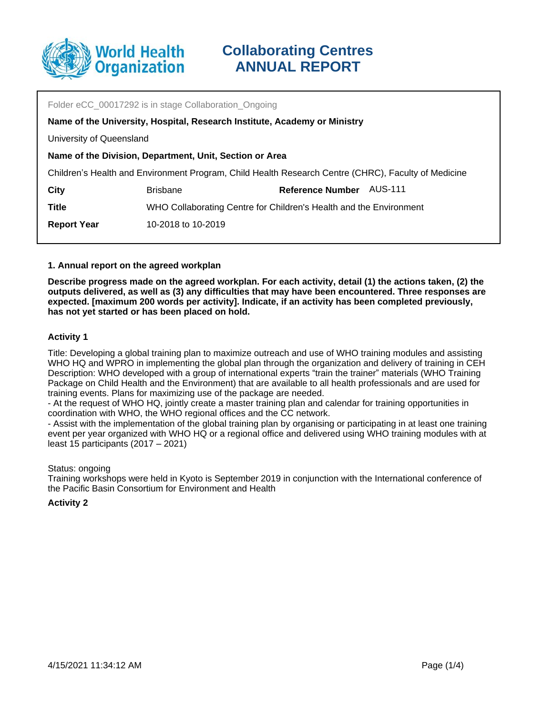

| Folder eCC_00017292 is in stage Collaboration_Ongoing                                               |                                                                    |                         |         |  |  |
|-----------------------------------------------------------------------------------------------------|--------------------------------------------------------------------|-------------------------|---------|--|--|
| Name of the University, Hospital, Research Institute, Academy or Ministry                           |                                                                    |                         |         |  |  |
| University of Queensland                                                                            |                                                                    |                         |         |  |  |
| Name of the Division, Department, Unit, Section or Area                                             |                                                                    |                         |         |  |  |
| Children's Health and Environment Program, Child Health Research Centre (CHRC), Faculty of Medicine |                                                                    |                         |         |  |  |
| City                                                                                                | <b>Brisbane</b>                                                    | <b>Reference Number</b> | AUS-111 |  |  |
| <b>Title</b>                                                                                        | WHO Collaborating Centre for Children's Health and the Environment |                         |         |  |  |
| <b>Report Year</b>                                                                                  | 10-2018 to 10-2019                                                 |                         |         |  |  |
|                                                                                                     |                                                                    |                         |         |  |  |

### **1. Annual report on the agreed workplan**

**Describe progress made on the agreed workplan. For each activity, detail (1) the actions taken, (2) the outputs delivered, as well as (3) any difficulties that may have been encountered. Three responses are expected. [maximum 200 words per activity]. Indicate, if an activity has been completed previously, has not yet started or has been placed on hold.**

### **Activity 1**

Title: Developing a global training plan to maximize outreach and use of WHO training modules and assisting WHO HQ and WPRO in implementing the global plan through the organization and delivery of training in CEH Description: WHO developed with a group of international experts "train the trainer" materials (WHO Training Package on Child Health and the Environment) that are available to all health professionals and are used for training events. Plans for maximizing use of the package are needed.

- At the request of WHO HQ, jointly create a master training plan and calendar for training opportunities in coordination with WHO, the WHO regional offices and the CC network.

- Assist with the implementation of the global training plan by organising or participating in at least one training event per year organized with WHO HQ or a regional office and delivered using WHO training modules with at least 15 participants (2017 – 2021)

#### Status: ongoing

Training workshops were held in Kyoto is September 2019 in conjunction with the International conference of the Pacific Basin Consortium for Environment and Health

### **Activity 2**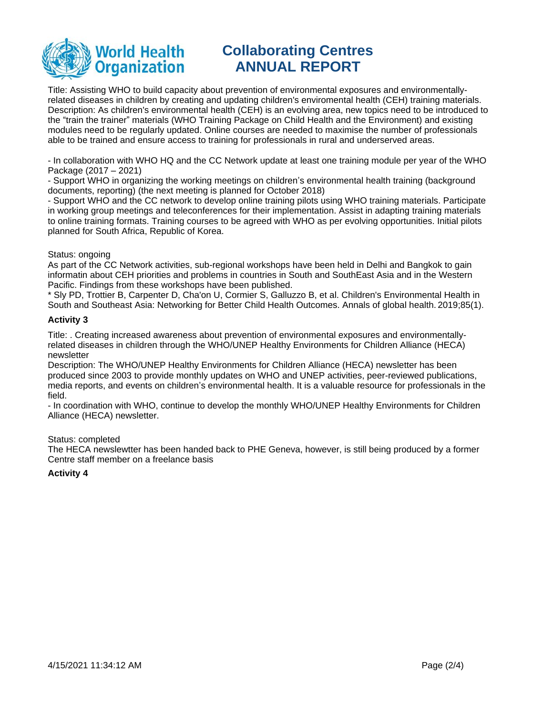

# **Collaborating Centres ANNUAL REPORT**

Title: Assisting WHO to build capacity about prevention of environmental exposures and environmentallyrelated diseases in children by creating and updating children's enviromental health (CEH) training materials. Description: As children's environmental health (CEH) is an evolving area, new topics need to be introduced to the "train the trainer" materials (WHO Training Package on Child Health and the Environment) and existing modules need to be regularly updated. Online courses are needed to maximise the number of professionals able to be trained and ensure access to training for professionals in rural and underserved areas.

- In collaboration with WHO HQ and the CC Network update at least one training module per year of the WHO Package (2017 – 2021)

- Support WHO in organizing the working meetings on children's environmental health training (background documents, reporting) (the next meeting is planned for October 2018)

- Support WHO and the CC network to develop online training pilots using WHO training materials. Participate in working group meetings and teleconferences for their implementation. Assist in adapting training materials to online training formats. Training courses to be agreed with WHO as per evolving opportunities. Initial pilots planned for South Africa, Republic of Korea.

## Status: ongoing

As part of the CC Network activities, sub-regional workshops have been held in Delhi and Bangkok to gain informatin about CEH priorities and problems in countries in South and SouthEast Asia and in the Western Pacific. Findings from these workshops have been published.

\* Sly PD, Trottier B, Carpenter D, Cha'on U, Cormier S, Galluzzo B, et al. Children's Environmental Health in South and Southeast Asia: Networking for Better Child Health Outcomes. Annals of global health. 2019;85(1).

## **Activity 3**

Title: . Creating increased awareness about prevention of environmental exposures and environmentallyrelated diseases in children through the WHO/UNEP Healthy Environments for Children Alliance (HECA) newsletter

Description: The WHO/UNEP Healthy Environments for Children Alliance (HECA) newsletter has been produced since 2003 to provide monthly updates on WHO and UNEP activities, peer-reviewed publications, media reports, and events on children's environmental health. It is a valuable resource for professionals in the field.

- In coordination with WHO, continue to develop the monthly WHO/UNEP Healthy Environments for Children Alliance (HECA) newsletter.

### Status: completed

The HECA newslewtter has been handed back to PHE Geneva, however, is still being produced by a former Centre staff member on a freelance basis

# **Activity 4**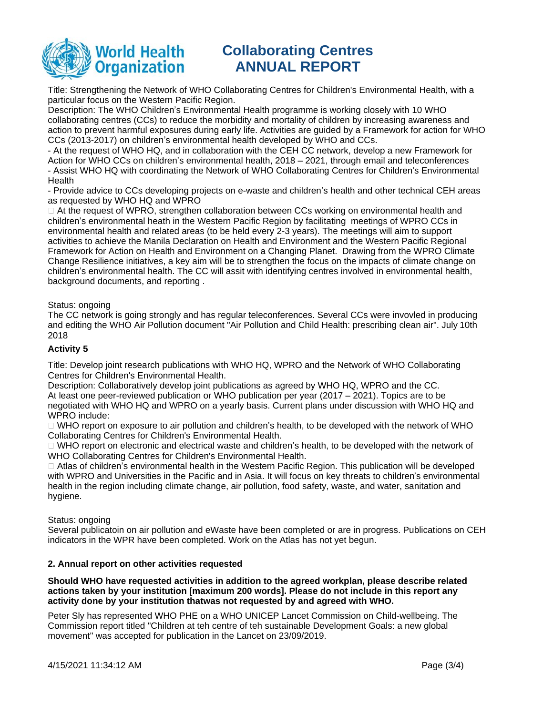

# **Collaborating Centres ANNUAL REPORT**

Title: Strengthening the Network of WHO Collaborating Centres for Children's Environmental Health, with a particular focus on the Western Pacific Region.

Description: The WHO Children's Environmental Health programme is working closely with 10 WHO collaborating centres (CCs) to reduce the morbidity and mortality of children by increasing awareness and action to prevent harmful exposures during early life. Activities are guided by a Framework for action for WHO CCs (2013-2017) on children's environmental health developed by WHO and CCs.

- At the request of WHO HQ, and in collaboration with the CEH CC network, develop a new Framework for Action for WHO CCs on children's environmental health, 2018 – 2021, through email and teleconferences - Assist WHO HQ with coordinating the Network of WHO Collaborating Centres for Children's Environmental **Health** 

- Provide advice to CCs developing projects on e-waste and children's health and other technical CEH areas as requested by WHO HQ and WPRO

 $\Box$  At the request of WPRO, strengthen collaboration between CCs working on environmental health and children's environmental heath in the Western Pacific Region by facilitating meetings of WPRO CCs in environmental health and related areas (to be held every 2-3 years). The meetings will aim to support activities to achieve the Manila Declaration on Health and Environment and the Western Pacific Regional Framework for Action on Health and Environment on a Changing Planet. Drawing from the WPRO Climate Change Resilience initiatives, a key aim will be to strengthen the focus on the impacts of climate change on children's environmental health. The CC will assit with identifying centres involved in environmental health, background documents, and reporting .

## Status: ongoing

The CC network is going strongly and has regular teleconferences. Several CCs were invovled in producing and editing the WHO Air Pollution document "Air Pollution and Child Health: prescribing clean air". July 10th 2018

## **Activity 5**

Title: Develop joint research publications with WHO HQ, WPRO and the Network of WHO Collaborating Centres for Children's Environmental Health.

Description: Collaboratively develop joint publications as agreed by WHO HQ, WPRO and the CC. At least one peer-reviewed publication or WHO publication per year (2017 – 2021). Topics are to be negotiated with WHO HQ and WPRO on a yearly basis. Current plans under discussion with WHO HQ and WPRO include:

 $\Box$  WHO report on exposure to air pollution and children's health, to be developed with the network of WHO Collaborating Centres for Children's Environmental Health.

□ WHO report on electronic and electrical waste and children's health, to be developed with the network of WHO Collaborating Centres for Children's Environmental Health.

 Atlas of children's environmental health in the Western Pacific Region. This publication will be developed with WPRO and Universities in the Pacific and in Asia. It will focus on key threats to children's environmental health in the region including climate change, air pollution, food safety, waste, and water, sanitation and hygiene.

Status: ongoing

Several publicatoin on air pollution and eWaste have been completed or are in progress. Publications on CEH indicators in the WPR have been completed. Work on the Atlas has not yet begun.

### **2. Annual report on other activities requested**

**Should WHO have requested activities in addition to the agreed workplan, please describe related actions taken by your institution [maximum 200 words]. Please do not include in this report any activity done by your institution thatwas not requested by and agreed with WHO.**

Peter Sly has represented WHO PHE on a WHO UNICEP Lancet Commission on Child-wellbeing. The Commission report titled "Children at teh centre of teh sustainable Development Goals: a new global movement" was accepted for publication in the Lancet on 23/09/2019.